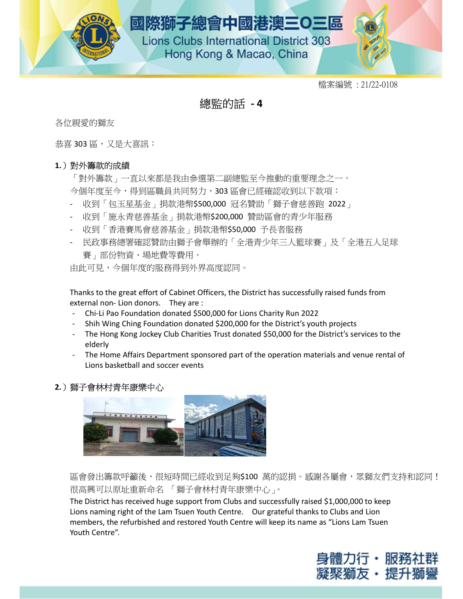

## 總監的話 - 4

各位親愛的獅友

恭喜 303 區,又是大喜訊:

#### 1.)對外籌款的成績

「對外籌款」一直以來都是我由參選第二副總監至今推動的重要理念之一。 今個年度至今,得到區職員共同努力,303 區會已經確認收到以下款項:

- 收到「包玉星基金」捐款港幣\$500,000 冠名贊助「獅子會慈善跑 2022」
- 收到「施永青慈善基金」捐款港幣\$200,000 贊助區會的青少年服務
- 收到「香港賽馬會慈善基金」捐款港幣\$50,000 予長者服務
- 民政事務總署確認贊助由獅子會舉辦的「全港青少年三人籃球賽」及「全港五人足球 賽」部份物資、場地費等費用。

由此可見,今個年度的服務得到外界高度認同。

Thanks to the great effort of Cabinet Officers, the District has successfully raised funds from external non- Lion donors. They are :

- Chi-Li Pao Foundation donated \$500,000 for Lions Charity Run 2022
- Shih Wing Ching Foundation donated \$200,000 for the District's youth projects
- The Hong Kong Jockey Club Charities Trust donated \$50,000 for the District's services to the elderly
- The Home Affairs Department sponsored part of the operation materials and venue rental of Lions basketball and soccer events

#### 2.)獅子會林村青年康樂中心



區會發出籌款呼籲後,很短時間已經收到足夠\$100 萬的認捐。感謝各屬會,眾獅友們支持和認同! 很高興可以原址重新命名 「獅子會林村青年康樂中心」。

The District has received huge support from Clubs and successfully raised \$1,000,000 to keep Lions naming right of the Lam Tsuen Youth Centre. Our grateful thanks to Clubs and Lion members, the refurbished and restored Youth Centre will keep its name as "Lions Lam Tsuen Youth Centre".

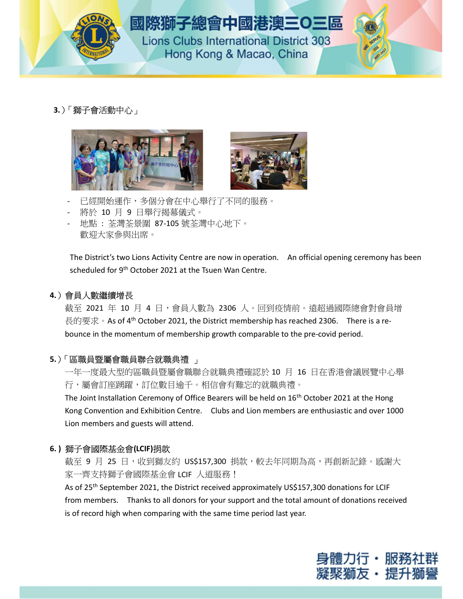

# 國際獅子總會中國港澳三O三區

**Lions Clubs International District 303** Hong Kong & Macao, China

3.)「獅子會活動中心」





- 已經開始運作,多個分會在中心舉行了不同的服務。
- 將於 10 月 9 日舉行揭幕儀式。
- 地點 : 荃灣荃景圍 87-105 號荃灣中心地下。 歡迎大家參與出席。

The District's two Lions Activity Centre are now in operation. An official opening ceremony has been scheduled for 9<sup>th</sup> October 2021 at the Tsuen Wan Centre.

## 4.)會員人數繼續增長

截至 2021 年 10 月 4 日,會員人數為 2306 人。回到疫情前。遠超過國際總會對會員增 長的要求。As of 4<sup>th</sup> October 2021, the District membership has reached 2306. There is a rebounce in the momentum of membership growth comparable to the pre-covid period.

## 5.)「區職員暨屬會職員聯合就職典禮」

一年一度最大型的區職員暨屬會職聯合就職典禮確認於 10 月 16 日在香港會議展覽中心舉 行,屬會訂座踴躍,訂位數目逾千。相信會有難忘的就職典禮。

The Joint Installation Ceremony of Office Bearers will be held on 16<sup>th</sup> October 2021 at the Hong Kong Convention and Exhibition Centre. Clubs and Lion members are enthusiastic and over 1000 Lion members and guests will attend.

### 6. ) 獅子會國際基金會(LCIF)捐款

截至 9 月 25 日,收到獅友約 US\$157,300 捐款,較去年同期為高,再創新記錄。感謝大 家一齊支持獅子會國際基金會 LCIF 人道服務!

As of 25th September 2021, the District received approximately US\$157,300 donations for LCIF from members. Thanks to all donors for your support and the total amount of donations received is of record high when comparing with the same time period last year.